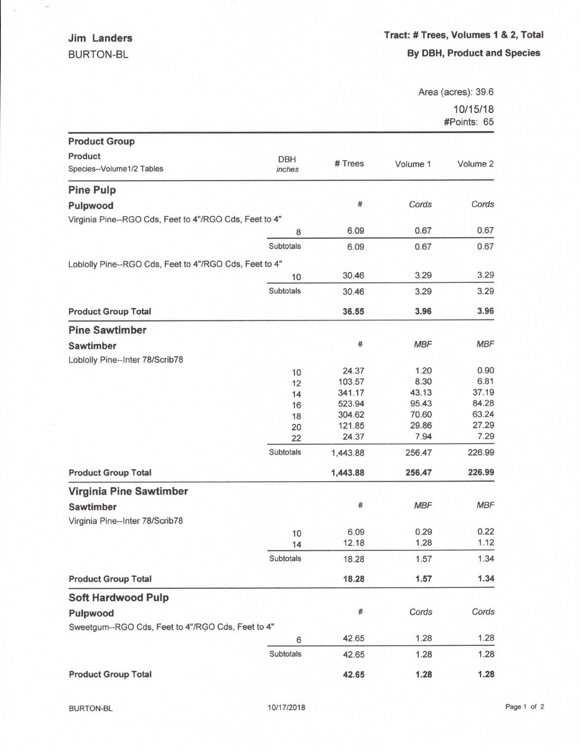$\frac{1}{2}$ 

Area (acres): 39.6

10/15/18 #Points: 65

|                                                        |            |          |            | <b>#POINS.</b> 00 |
|--------------------------------------------------------|------------|----------|------------|-------------------|
| <b>Product Group</b>                                   |            |          |            |                   |
| Product                                                | <b>DBH</b> |          |            |                   |
| Species--Volume1/2 Tables                              | inches     | # Trees  | Volume 1   | Volume 2          |
| <b>Pine Pulp</b>                                       |            |          |            |                   |
| Pulpwood                                               |            | #        | Cords      | Cords             |
| Virginia Pine--RGO Cds, Feet to 4"/RGO Cds, Feet to 4" |            |          |            |                   |
|                                                        | 8          | 6.09     | 0.67       | 0.67              |
|                                                        | Subtotals  | 6.09     | 0.67       | 0.67              |
| Loblolly Pine--RGO Cds, Feet to 4"/RGO Cds, Feet to 4" |            |          |            |                   |
|                                                        | 10         | 30.46    | 3.29       | 3.29              |
|                                                        | Subtotals  | 30.46    | 3.29       | 3.29              |
| <b>Product Group Total</b>                             |            | 36.55    | 3.96       | 3.96              |
| <b>Pine Sawtimber</b>                                  |            |          |            |                   |
| <b>Sawtimber</b>                                       |            | #        | <b>MBF</b> | <b>MBF</b>        |
| Loblolly Pine--Inter 78/Scrib78                        |            |          |            |                   |
|                                                        | 10         | 24.37    | 1.20       | 0.90              |
|                                                        | 12         | 103.57   | 8.30       | 6.81              |
|                                                        | 14         | 341.17   | 43.13      | 37.19             |
|                                                        | 16         | 523.94   | 95.43      | 84.28             |
|                                                        | 18         | 304.62   | 70.60      | 63.24             |
|                                                        | 20         | 121.85   | 29.86      | 27.29             |
|                                                        | 22         | 24.37    | 7.94       | 7.29              |
|                                                        | Subtotals  | 1,443.88 | 256.47     | 226.99            |
| <b>Product Group Total</b>                             |            | 1,443.88 | 256.47     | 226.99            |
| <b>Virginia Pine Sawtimber</b>                         |            |          |            |                   |
| <b>Sawtimber</b>                                       |            | #        | <b>MBF</b> | <b>MBF</b>        |
| Virginia Pine--Inter 78/Scrib78                        |            |          |            |                   |
|                                                        | 10         | 6.09     | 0.29       | 0.22              |
|                                                        | 14         | 12.18    | 1.28       | 1.12              |
|                                                        | Subtotals  | 18.28    | 1.57       | 1.34              |
| <b>Product Group Total</b>                             |            | 18.28    | 1.57       | 1.34              |
| <b>Soft Hardwood Pulp</b>                              |            |          |            |                   |
| Pulpwood                                               |            | #        | Cords      | Cords             |
| Sweetgum--RGO Cds, Feet to 4"/RGO Cds, Feet to 4"      |            |          |            |                   |
|                                                        | 6          | 42.65    | 1.28       | 1.28              |
|                                                        | Subtotals  | 42.65    | 1.28       | 1.28              |
| <b>Product Group Total</b>                             |            | 42.65    | 1.28       | 1.28              |